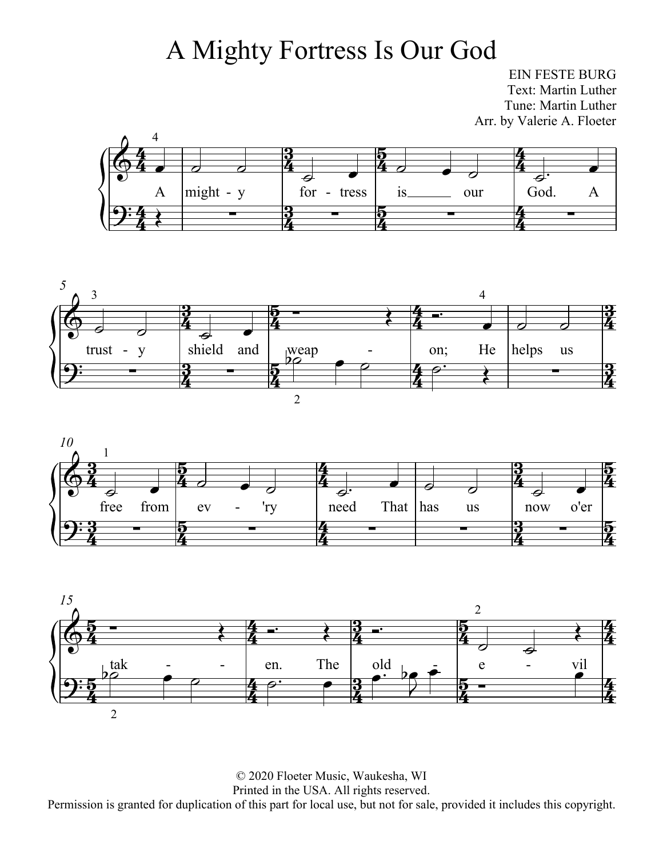## A Mighty Fortress Is Our God

EIN FESTE BURG Text: Martin Luther Tune: Martin Luther Arr. by Valerie A. Floeter









© 2020 Floeter Music, Waukesha, WI Printed in the USA. All rights reserved. Permission is granted for duplication of this part for local use, but not for sale, provided it includes this copyright.